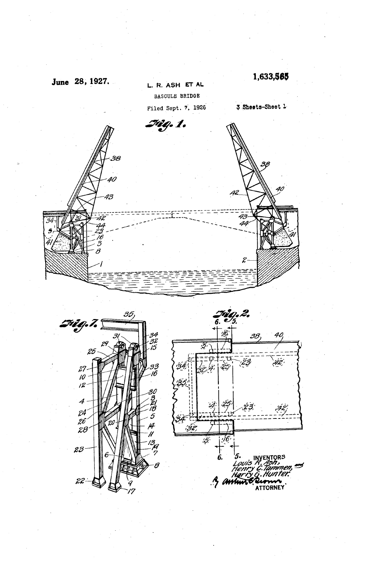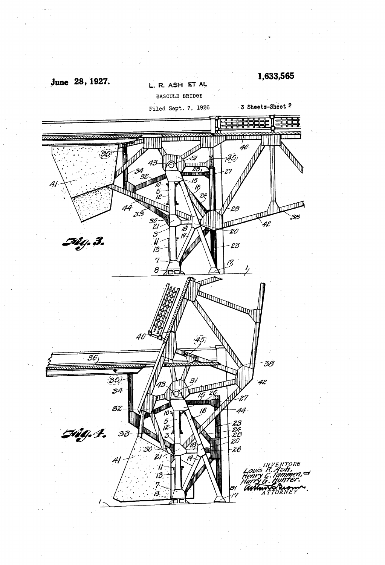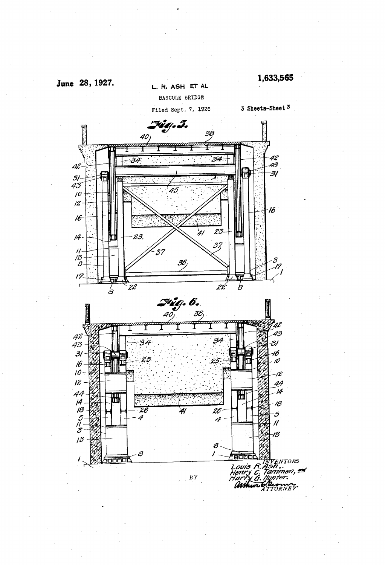

 $13$ 

L. R. ASH. ET AL BASCULE BRIDGE

Filed Sept. 7, 1926

3 Sheets-Sheet 3

1,633,565



 $B Y$ 

8

0000C

 $\boldsymbol{\theta}$ 

38000

Loui<del>s</del><br>Henry

ari Avä  $R$  $\mathcal{C}_i$ 

en<br>Tappen Tors<br>"Tammen, #<br>"Tammer"<br>"A TTORNEY"

 $\prime$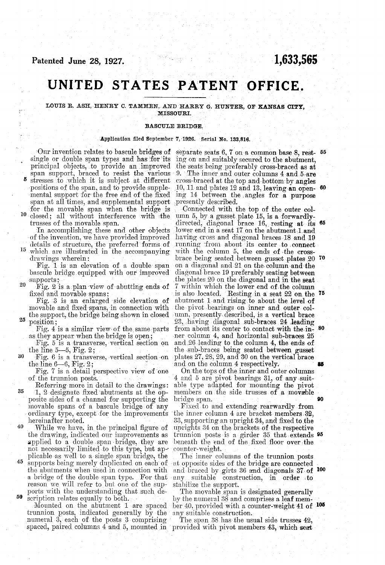# 1,633,565

# UNITED STATES PATENT OFFICE.

## LOUIS R. ASH, HENRY C. TAMMEN, AND HARRY G. HUNTER, of KANSAs CITY, MISSOURI.

### BASCULE BRIDGE.

#### Application filed September 7, 1926. Serial No. 133,816.

span at all times, and supplemental support for the movable span when the bridge is  $\alpha$  closed; all without interference with the positions of the span, and to provide supple-<br>mental support for the free end of the fixed<br>span at all times, and supplemental support Our invention relates to bascule bridges of single or double span types and has for its principal objects, to provide an improved span support, braced to resist the various stresses to which it is subject at different Our invention relates to bascule bridges of separate seats 6, 7 on a common base 8, rest- 55

<sup>15</sup> which are illustrated in the accompanying trusses of the movable span. In accomplishing these and other objects of the invention, we have provided improved details of structure, the preferred forms of which are illustrated in the accompanying drawings wherein:

supports: bascule bridge equipped with our improved

Fig. 2 is a plan view of abutting ends of

20

Fig. 3 is an enlarged side elevation of movable and fixed spans, in connection with the support, the bridge being shown in closed 25 position;

as they appear when the bridge is open; Fig. 4 is a similar view of the same parts

Fig. 5 is a transverse, vertical section on the line  $5-5$ , Fig. 2;<br>Fig. 6 is a transverse, vertical section on

30

35 Referring more in detail to the drawings: able type at 1, 2 designate fixed abutments at the op-members on posite sides of a channel for supporting the bridge span.

ordinary type, except for the improvements movable spans of a bascule bridge of any hereinafter noted.

40 While we have, in the principal figure of the drawing, indicated our improvements as applied to a double span bridge, they are not necessarily limited to this type, but apnot necessarily limited to this type, but ap-counter-weight.<br>plicable as well to a single span bridge, the The inner co suppried to a double spain bridge, they are beneath the end of the fixed floor over, the not necessarily limited to this type, but ap-counter-weight.<br>plicable as well to a single span bridge, the The inner columns of the t

45 50 a bridge of the double span type. For that the abutments when used in connection with ports with the understanding that such description relates equally to both.<br>Mounted on the abutment 1 are spaced

trunnion posts, indicated generally by the numeral 3, each of the posts 3 comprising numeral 3, each of the posts 3 comprising The span 38 has the usual side trusses  $42$ , spaced, paired columns  $4$  and  $5$ , mounted in provided with pivot members  $43$ , which seat

ing on and suitably secured to the abutment,<br>the seats being preferably cross-braced as at<br>9. The inner and outer columns 4 and 5 are 9. The inner and outer columns  $4$  and  $5$  are cross-braced at the top and bottom by angles Cross-braced at the top and bottom by angles 10, 11 and plates 12 and 13, leaving an open ing 14 between the angles for a purpose presently described. 50

Fig. 6 is a transverse, vertical section on plates  $27, 28, 29,$  and 30 on the vertical brace<br>the line 6-6, Fig. 2; and on the column 4 respectively.<br>Fig. 7 is a detail perspective view of one On the tops of the inner and Connected with the top of the outer col-<br>umn 5, by a gusset plate 15, is a forwardly-<br>directed, diagonal brace 16, resting at its 65 lower end in a seat 17 on the abutment 1 and<br>having cross and diagonal braces 18 and 19 l'unning from about its center to connect With the column 5, the ends of the cross brace being seated between gusset plates 20 70 On a diagonal and 21 on the column and the diagonal brace 19 preferably seating between the plates 20 on the diagonal and in the seat<br>7 within which the lower end of the column is also located. Resting in a seat 22 on the <sup>75</sup> the pivot bearings on inner and outer column, presently described, is a vertical brace 23, having diagonal sub-braces 24 leading from about its center to contact with the inner column 4, and horizontal sub-braces 25 and 26 leading to the column 4, the ends of the sub-braces being seated between gusset 80

On the tops of the inner and outer columns  $4$  and  $5$  are pivot bearings  $31$ , of any suitable type adapted for mounting the pivot members on the side trusses of a movable

90

Fixed to and extending rearwardly from<br>the inner column 4 are bracket members 32. 33, supporting an upright 34, and fixed to the uprights 34 on the brackets of the respective trunnion posts is a girder 35 that extends beneath the end of the fixed floor over the trunnion posts is a girder 35 that extends 95

and braced by girts 36 and diagonals 37 of 100

any suitable construction, in order to stabilize the support.<br>The movable span is designated generally by the numeral 38 and comprises a leaf member 40, provided with a counter-weight 41 of 105 any suitable construction.<br>The span 38 has the usual side trusses 42,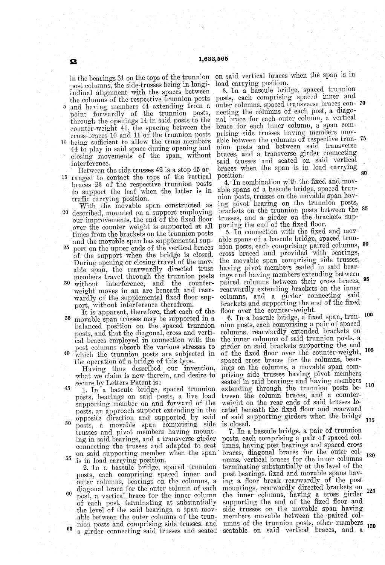in the bearings 31 on the tops of the trunnion O fudinal alignment with the spaces between<br>the columns of the respective trunnion posts<br>and having members 44 extending from a<br>point forwardly of the trunnion posts,<br>through the openings 14 in said posts to the<br>counter-weig being sufficient to allow the truss members 44 to play in said space during opening and closing movements of the span, without

15 ranged to contact the tops of the vertical Between the side trusses 42 is a stop 45 arbraces 23 of the respective trunnion posts<br>to support the leaf when the latter is in<br>traffic carrying position.<br>With the movable span constructed as<br>20 described, mounted on a support employing

25 30 without interference, and the counterour improvements, the end of the fixed floor over the counter weight is supported at all<br>times from the brackets on the trunnion posts and the moyable span has supplemental sup-<br>port on the upper ends of the vertical braces of the support when the bridge is closed. During opening or closing travel of the movable span, the rearwardly directed truss<br>members travel through the trunnion posts weight moves in an arc beneath and rear-<br>wardly of the supplemental fixed floor sup-<br>port, without interference therefrom.<br>It is apparent, therefore, that each of the

35 40 movable span trusses may be supported in a balanced position on the spaced trunnion posts, and that the diagonal, cross and verti cal braces employed in connection with the post columns absorb the various stresses to which the trunnion posts are subjected in the operation of a bridge of this type.

Having thus described our invention, what we claim is new therein, and desire to secure by Letters Patent is:

45 50 on said supporting member when the span. 1. In a bascule bridge, spaced trunnion posts, bearings on said posts, a live load posts, an approach support extending in the opposite direction and supported by said posts, a movable span comprising side ing in said bearings, and a transverse girder connecting the trusses and adapted to seat

60 65 on is in load carrying position.<br>2. In a bascule bridge, spaced trunnion posts, each comprising spaced inner and outer columns, bearings on the columns, a diagonal brace for the outer column of each<br>post, a vertical brace for the inner column of each post, terminating at substantially supporting the end of the fixed floor and<br>the level of the said bearings, a span mov-side trusses on the movable span having<br>able between the outer columns of the trun- members mo able between the outer columns of the trun nion posts and comprising side trusses, and

on said vertical braces when the span is in load carrying position. 3. In a bascule bridge, spaced trunnion

posts, each comprising spaced inner and necting the columns of each post, a diagonal brace for each outer column, a vertical brace for each inner column, a span combrace for each inner column, a span com-<br>prising side trusses having members mov-<br>able between the columns of respective trun-<br>nion posts and between said transverse<br>braces, and a transverse girder connecting<br>said trusses outer columns, spaced transverse braces con- 70 75, 80.

able spans of a bascule bridge, spaced trunnion posts, trusses on the movable span having pivot bearing on the trunnion posts, brackets on the trunnion posts between the trusses, and a girder on the brackets supporting the end of the fixed floor.<br>5. In connection with the fixed and movbrackets on the trunnion posts between the 85

5. In connection with the fixed and movable spans of a bascule bridge, spaced trunnion posts, each comprising paired columns,  $90$ cross braced and provided with bearings, the movable span comprising side trusses, having pivot members seated in said bear ings and having members extending between pairwardly extending brackets on the inner columns, and a girder connecting said<br>brackets and supporting the end of the fixed paired columns between their cross braces, 95

brackets and supporting the end of the fixed<br>floor over the counter-weight.<br>6. In a bascule bridge, a fixed span, trun-<br>nion posts, each comprising a pair of spaced<br>columns, rearwardly extended brackets on columns, rearwardly extended brackets on the inner columns of said trunnion posts, a girder on said brackets supporting the end of the fixed floor over the counter-weight, 105 spaced cross braces for the columns, bearings on the columns, a movable span comprising side trusses having pivot members seated in said bearings and having members seated in said bearings and having members extending through the trunnion posts be tween the column braces, and a counter-<br>weight on the rear ends of said trusses located beneath the fixed floor, and rearward of said supporting girders when the bridge is closed. 00 of the fixed floor over the counter-weight, 10

a girder connecting said trusses and seated seatable on said vertical braces, and a 7. In a bascule bridge, a pair of trunnion posts, each comprising a pair of spaced col umns, having post bearings and spaced cross braces, diagonal braces for the outer col umns, vertical braces for the inner columns terminating substantially at the level of the ing a floor break rearwardly of the post mountings, rearwardly directed brackets on the inner columns, having a cross girder supporting the end of the fixed floor and lumns of the trunnion posts, other members 120 125

115

130

 $\overline{5}$